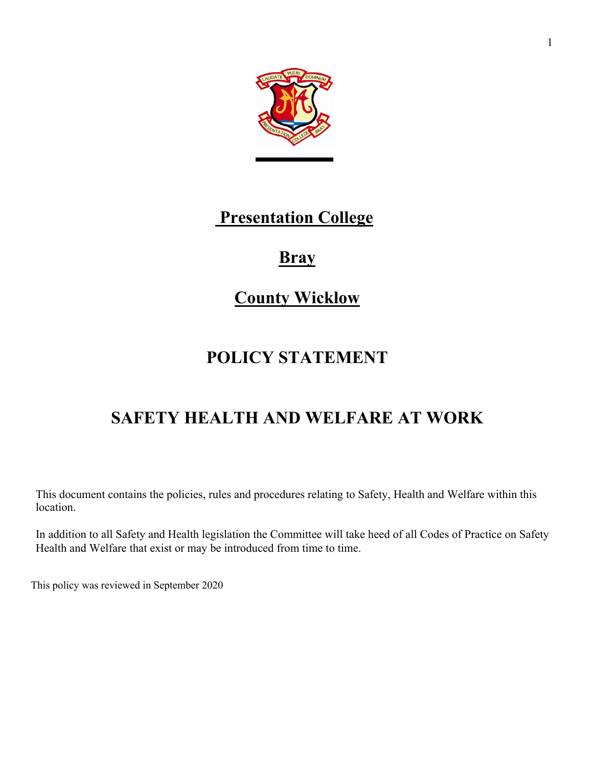

# **Presentation College**

# **Bray**

# **County Wicklow**

# **POLICY STATEMENT**

# **SAFETY HEALTH AND WELFARE AT WORK**

This document contains the policies, rules and procedures relating to Safety, Health and Welfare within this location.

In addition to all Safety and Health legislation the Committee will take heed of all Codes of Practice on Safety Health and Welfare that exist or may be introduced from time to time.

This policy was reviewed in September 2020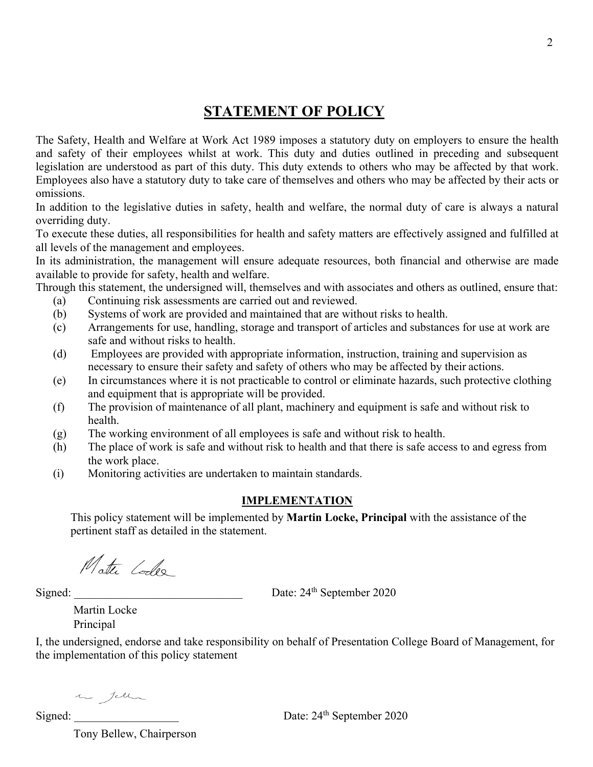# **STATEMENT OF POLICY**

The Safety, Health and Welfare at Work Act 1989 imposes a statutory duty on employers to ensure the health and safety of their employees whilst at work. This duty and duties outlined in preceding and subsequent legislation are understood as part of this duty. This duty extends to others who may be affected by that work. Employees also have a statutory duty to take care of themselves and others who may be affected by their acts or omissions.

In addition to the legislative duties in safety, health and welfare, the normal duty of care is always a natural overriding duty.

To execute these duties, all responsibilities for health and safety matters are effectively assigned and fulfilled at all levels of the management and employees.

In its administration, the management will ensure adequate resources, both financial and otherwise are made available to provide for safety, health and welfare.

Through this statement, the undersigned will, themselves and with associates and others as outlined, ensure that:

- (a) Continuing risk assessments are carried out and reviewed.
- (b) Systems of work are provided and maintained that are without risks to health.
- (c) Arrangements for use, handling, storage and transport of articles and substances for use at work are safe and without risks to health.
- (d) Employees are provided with appropriate information, instruction, training and supervision as necessary to ensure their safety and safety of others who may be affected by their actions.
- (e) In circumstances where it is not practicable to control or eliminate hazards, such protective clothing and equipment that is appropriate will be provided.
- (f) The provision of maintenance of all plant, machinery and equipment is safe and without risk to health.
- (g) The working environment of all employees is safe and without risk to health.
- (h) The place of work is safe and without risk to health and that there is safe access to and egress from the work place.
- (i) Monitoring activities are undertaken to maintain standards.

#### **IMPLEMENTATION**

This policy statement will be implemented by **Martin Locke, Principal** with the assistance of the pertinent staff as detailed in the statement.

Matte Codes

Signed: \_\_\_\_\_\_\_\_\_\_\_\_\_\_\_\_\_\_\_\_\_\_\_\_\_\_\_\_\_ Date: 24th September 2020

Date: 24<sup>th</sup> September 2020

Martin Locke Principal

I, the undersigned, endorse and take responsibility on behalf of Presentation College Board of Management, for the implementation of this policy statement

in Jell

Signed: \_\_\_\_\_\_\_\_\_\_\_\_\_\_\_\_\_\_

Tony Bellew, Chairperson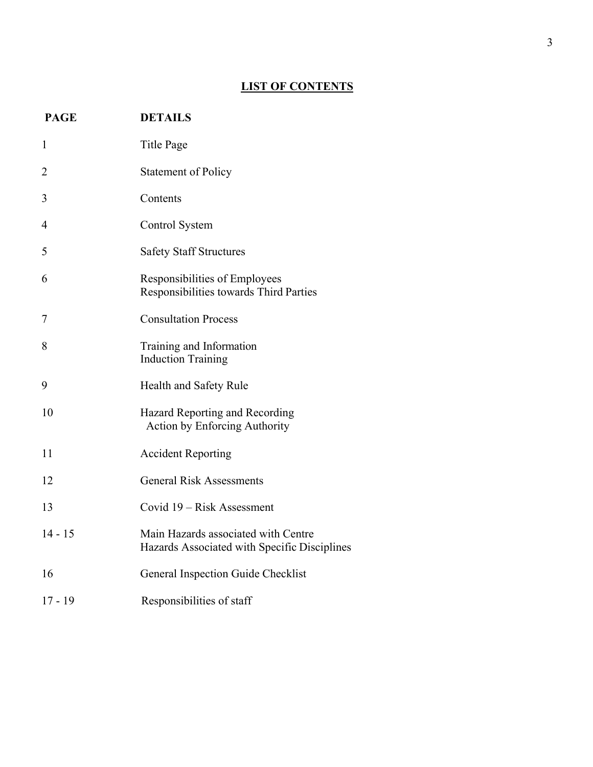## **LIST OF CONTENTS**

| <b>PAGE</b>    | <b>DETAILS</b>                                                                      |
|----------------|-------------------------------------------------------------------------------------|
| 1              | Title Page                                                                          |
| 2              | <b>Statement of Policy</b>                                                          |
| 3              | Contents                                                                            |
| $\overline{4}$ | Control System                                                                      |
| 5              | <b>Safety Staff Structures</b>                                                      |
| 6              | Responsibilities of Employees<br>Responsibilities towards Third Parties             |
| 7              | <b>Consultation Process</b>                                                         |
| 8              | Training and Information<br><b>Induction Training</b>                               |
| 9              | Health and Safety Rule                                                              |
| 10             | Hazard Reporting and Recording<br><b>Action by Enforcing Authority</b>              |
| 11             | <b>Accident Reporting</b>                                                           |
| 12             | <b>General Risk Assessments</b>                                                     |
| 13             | Covid 19 – Risk Assessment                                                          |
| $14 - 15$      | Main Hazards associated with Centre<br>Hazards Associated with Specific Disciplines |
| 16             | General Inspection Guide Checklist                                                  |
| $17 - 19$      | Responsibilities of staff                                                           |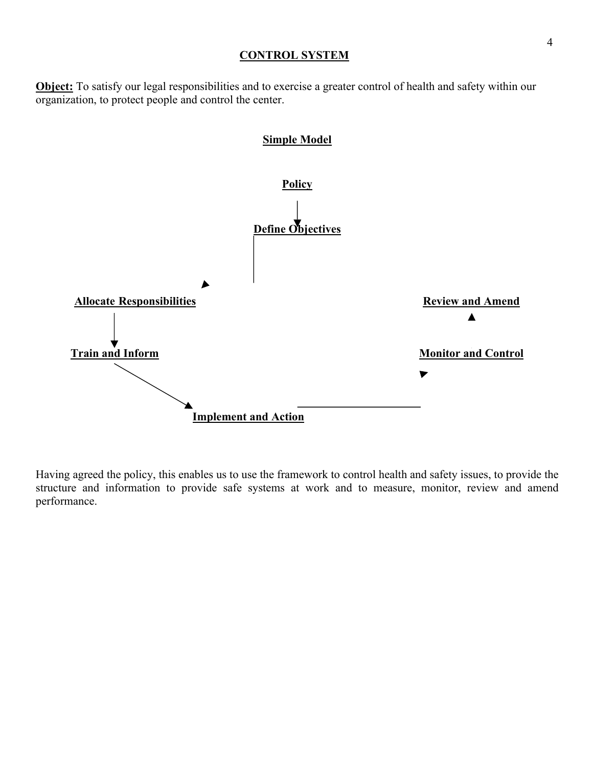#### **CONTROL SYSTEM**

**Object:** To satisfy our legal responsibilities and to exercise a greater control of health and safety within our organization, to protect people and control the center.



Having agreed the policy, this enables us to use the framework to control health and safety issues, to provide the structure and information to provide safe systems at work and to measure, monitor, review and amend performance.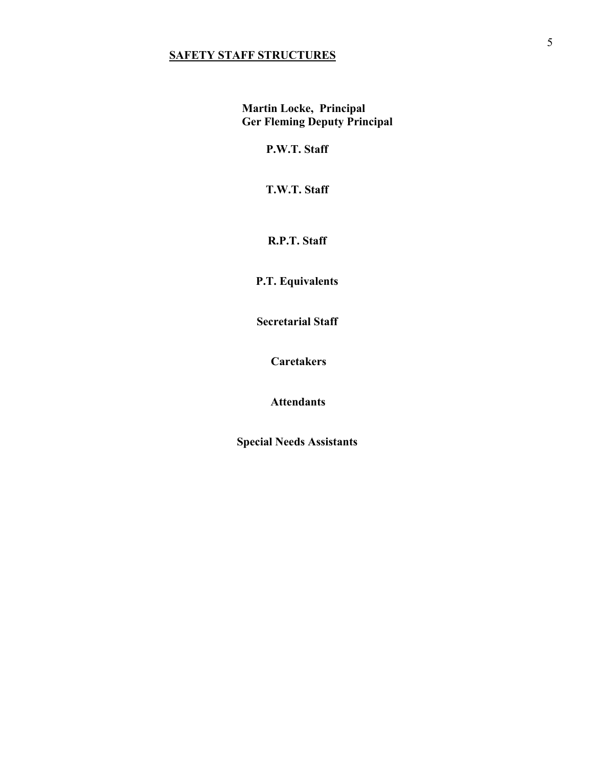## **SAFETY STAFF STRUCTURES**

**Martin Locke, Principal Ger Fleming Deputy Principal**

**P.W.T. Staff**

**T.W.T. Staff**

**R.P.T. Staff**

**P.T. Equivalents** 

**Secretarial Staff**

**Caretakers** 

**Attendants**

**Special Needs Assistants**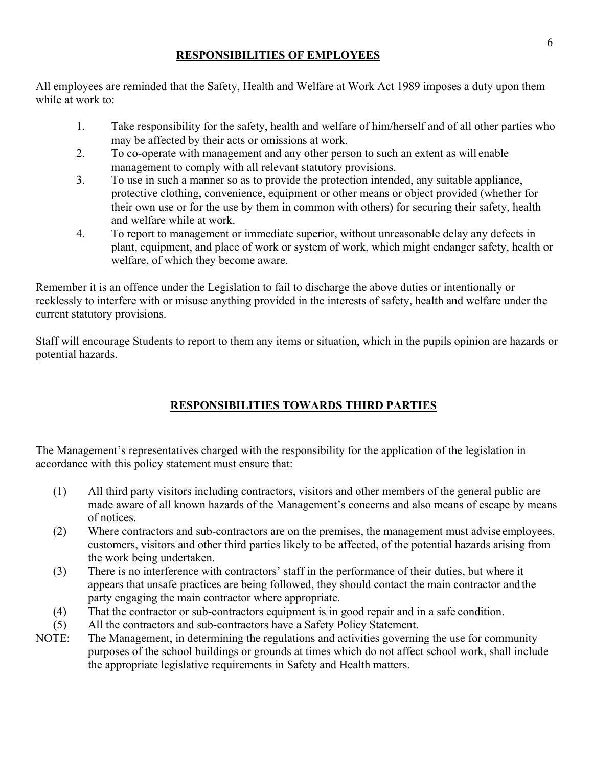## **RESPONSIBILITIES OF EMPLOYEES**

All employees are reminded that the Safety, Health and Welfare at Work Act 1989 imposes a duty upon them while at work to:

- 1. Take responsibility for the safety, health and welfare of him/herself and of all other parties who may be affected by their acts or omissions at work.
- 2. To co-operate with management and any other person to such an extent as will enable management to comply with all relevant statutory provisions.
- 3. To use in such a manner so as to provide the protection intended, any suitable appliance, protective clothing, convenience, equipment or other means or object provided (whether for their own use or for the use by them in common with others) for securing their safety, health and welfare while at work.
- 4. To report to management or immediate superior, without unreasonable delay any defects in plant, equipment, and place of work or system of work, which might endanger safety, health or welfare, of which they become aware.

Remember it is an offence under the Legislation to fail to discharge the above duties or intentionally or recklessly to interfere with or misuse anything provided in the interests of safety, health and welfare under the current statutory provisions.

Staff will encourage Students to report to them any items or situation, which in the pupils opinion are hazards or potential hazards.

# **RESPONSIBILITIES TOWARDS THIRD PARTIES**

The Management's representatives charged with the responsibility for the application of the legislation in accordance with this policy statement must ensure that:

- (1) All third party visitors including contractors, visitors and other members of the general public are made aware of all known hazards of the Management's concerns and also means of escape by means of notices.
- (2) Where contractors and sub-contractors are on the premises, the management must advise employees, customers, visitors and other third parties likely to be affected, of the potential hazards arising from the work being undertaken.
- (3) There is no interference with contractors' staff in the performance of their duties, but where it appears that unsafe practices are being followed, they should contact the main contractor and the party engaging the main contractor where appropriate.
- (4) That the contractor or sub-contractors equipment is in good repair and in a safe condition.
- (5) All the contractors and sub-contractors have a Safety Policy Statement.
- NOTE: The Management, in determining the regulations and activities governing the use for community purposes of the school buildings or grounds at times which do not affect school work, shall include the appropriate legislative requirements in Safety and Health matters.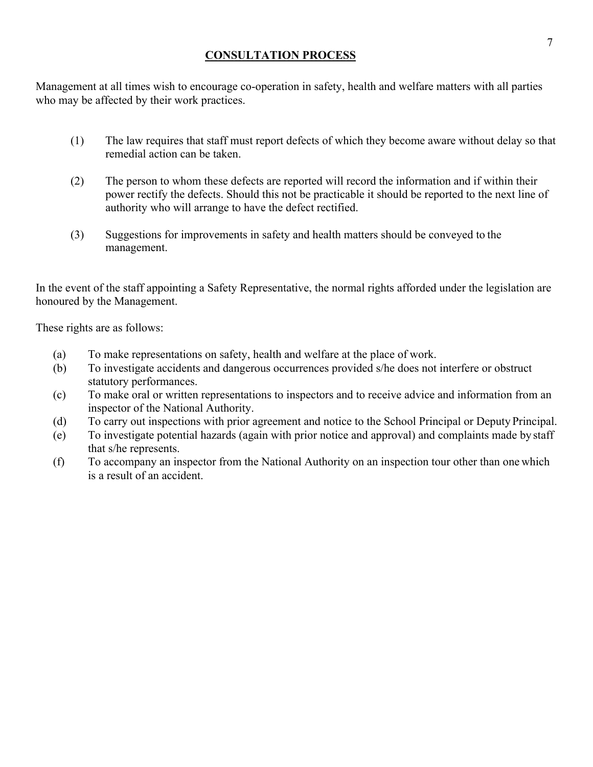## **CONSULTATION PROCESS**

Management at all times wish to encourage co-operation in safety, health and welfare matters with all parties who may be affected by their work practices.

- (1) The law requires that staff must report defects of which they become aware without delay so that remedial action can be taken.
- (2) The person to whom these defects are reported will record the information and if within their power rectify the defects. Should this not be practicable it should be reported to the next line of authority who will arrange to have the defect rectified.
- (3) Suggestions for improvements in safety and health matters should be conveyed to the management.

In the event of the staff appointing a Safety Representative, the normal rights afforded under the legislation are honoured by the Management.

These rights are as follows:

- (a) To make representations on safety, health and welfare at the place of work.
- (b) To investigate accidents and dangerous occurrences provided s/he does not interfere or obstruct statutory performances.
- (c) To make oral or written representations to inspectors and to receive advice and information from an inspector of the National Authority.
- (d) To carry out inspections with prior agreement and notice to the School Principal or Deputy Principal.
- (e) To investigate potential hazards (again with prior notice and approval) and complaints made by staff that s/he represents.
- (f) To accompany an inspector from the National Authority on an inspection tour other than one which is a result of an accident.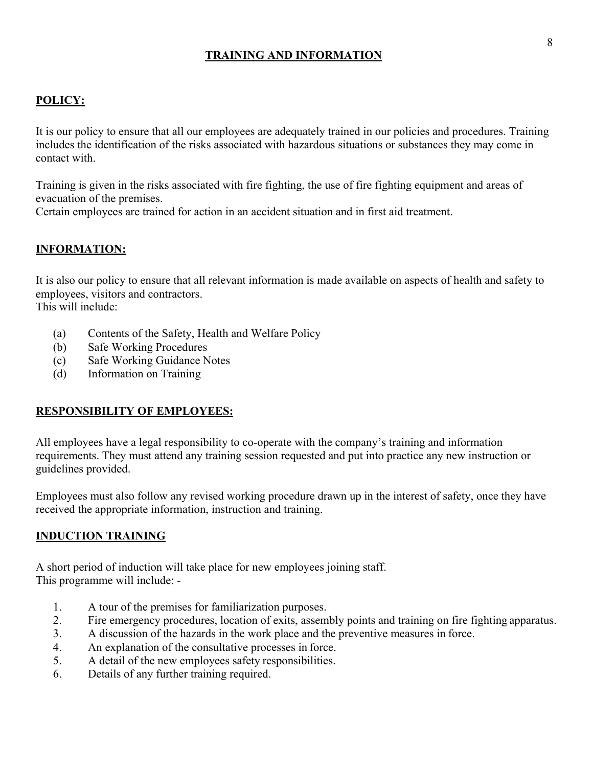## **TRAINING AND INFORMATION**

## **POLICY:**

It is our policy to ensure that all our employees are adequately trained in our policies and procedures. Training includes the identification of the risks associated with hazardous situations or substances they may come in contact with.

Training is given in the risks associated with fire fighting, the use of fire fighting equipment and areas of evacuation of the premises.

Certain employees are trained for action in an accident situation and in first aid treatment.

#### **INFORMATION:**

It is also our policy to ensure that all relevant information is made available on aspects of health and safety to employees, visitors and contractors. This will include:

- (a) Contents of the Safety, Health and Welfare Policy
- (b) Safe Working Procedures
- (c) Safe Working Guidance Notes
- (d) Information on Training

#### **RESPONSIBILITY OF EMPLOYEES:**

All employees have a legal responsibility to co-operate with the company's training and information requirements. They must attend any training session requested and put into practice any new instruction or guidelines provided.

Employees must also follow any revised working procedure drawn up in the interest of safety, once they have received the appropriate information, instruction and training.

#### **INDUCTION TRAINING**

A short period of induction will take place for new employees joining staff. This programme will include: -

- 1. A tour of the premises for familiarization purposes.
- 2. Fire emergency procedures, location of exits, assembly points and training on fire fighting apparatus.
- 3. A discussion of the hazards in the work place and the preventive measures in force.
- 4. An explanation of the consultative processes in force.
- 5. A detail of the new employees safety responsibilities.
- 6. Details of any further training required.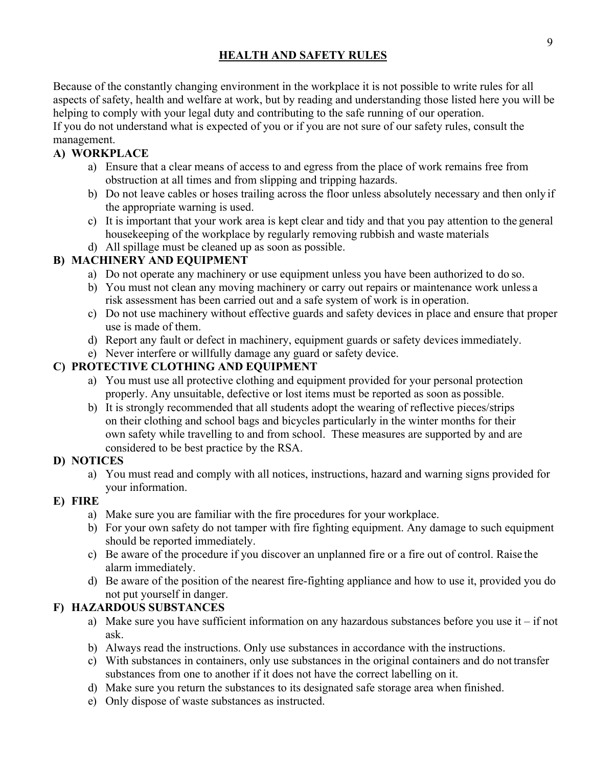## **HEALTH AND SAFETY RULES**

Because of the constantly changing environment in the workplace it is not possible to write rules for all aspects of safety, health and welfare at work, but by reading and understanding those listed here you will be helping to comply with your legal duty and contributing to the safe running of our operation.

If you do not understand what is expected of you or if you are not sure of our safety rules, consult the management.

## **A) WORKPLACE**

- a) Ensure that a clear means of access to and egress from the place of work remains free from obstruction at all times and from slipping and tripping hazards.
- b) Do not leave cables or hoses trailing across the floor unless absolutely necessary and then only if the appropriate warning is used.
- c) It is important that your work area is kept clear and tidy and that you pay attention to the general housekeeping of the workplace by regularly removing rubbish and waste materials
- d) All spillage must be cleaned up as soon as possible.

## **B) MACHINERY AND EQUIPMENT**

- a) Do not operate any machinery or use equipment unless you have been authorized to do so.
- b) You must not clean any moving machinery or carry out repairs or maintenance work unless a risk assessment has been carried out and a safe system of work is in operation.
- c) Do not use machinery without effective guards and safety devices in place and ensure that proper use is made of them.
- d) Report any fault or defect in machinery, equipment guards or safety devicesimmediately.
- e) Never interfere or willfully damage any guard or safety device.

## **C) PROTECTIVE CLOTHING AND EQUIPMENT**

- a) You must use all protective clothing and equipment provided for your personal protection properly. Any unsuitable, defective or lost items must be reported as soon as possible.
- b) It is strongly recommended that all students adopt the wearing of reflective pieces/strips on their clothing and school bags and bicycles particularly in the winter months for their own safety while travelling to and from school. These measures are supported by and are considered to be best practice by the RSA.

## **D) NOTICES**

a) You must read and comply with all notices, instructions, hazard and warning signs provided for your information.

## **E) FIRE**

- a) Make sure you are familiar with the fire procedures for your workplace.
- b) For your own safety do not tamper with fire fighting equipment. Any damage to such equipment should be reported immediately.
- c) Be aware of the procedure if you discover an unplanned fire or a fire out of control. Raise the alarm immediately.
- d) Be aware of the position of the nearest fire-fighting appliance and how to use it, provided you do not put yourself in danger.

## **F) HAZARDOUS SUBSTANCES**

- a) Make sure you have sufficient information on any hazardous substances before you use it  $-i$  f not ask.
- b) Always read the instructions. Only use substances in accordance with the instructions.
- c) With substances in containers, only use substances in the original containers and do not transfer substances from one to another if it does not have the correct labelling on it.
- d) Make sure you return the substances to its designated safe storage area when finished.
- e) Only dispose of waste substances as instructed.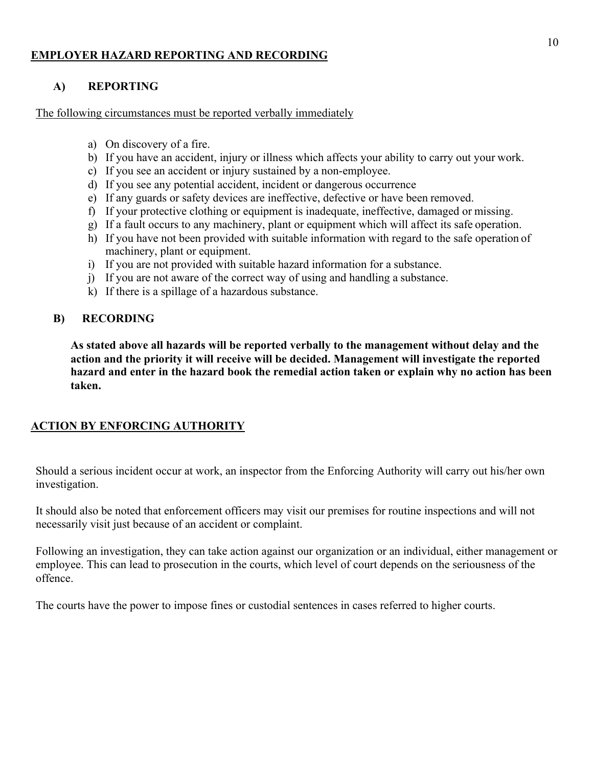#### **EMPLOYER HAZARD REPORTING AND RECORDING**

### **A) REPORTING**

The following circumstances must be reported verbally immediately

- a) On discovery of a fire.
- b) If you have an accident, injury or illness which affects your ability to carry out your work.
- c) If you see an accident or injury sustained by a non-employee.
- d) If you see any potential accident, incident or dangerous occurrence
- e) If any guards or safety devices are ineffective, defective or have been removed.
- f) If your protective clothing or equipment is inadequate, ineffective, damaged or missing.
- g) If a fault occurs to any machinery, plant or equipment which will affect its safe operation.
- h) If you have not been provided with suitable information with regard to the safe operation of machinery, plant or equipment.
- i) If you are not provided with suitable hazard information for a substance.
- j) If you are not aware of the correct way of using and handling a substance.
- k) If there is a spillage of a hazardous substance.

#### **B) RECORDING**

**As stated above all hazards will be reported verbally to the management without delay and the action and the priority it will receive will be decided. Management will investigate the reported hazard and enter in the hazard book the remedial action taken or explain why no action has been taken.**

#### **ACTION BY ENFORCING AUTHORITY**

Should a serious incident occur at work, an inspector from the Enforcing Authority will carry out his/her own investigation.

It should also be noted that enforcement officers may visit our premises for routine inspections and will not necessarily visit just because of an accident or complaint.

Following an investigation, they can take action against our organization or an individual, either management or employee. This can lead to prosecution in the courts, which level of court depends on the seriousness of the offence.

The courts have the power to impose fines or custodial sentences in cases referred to higher courts.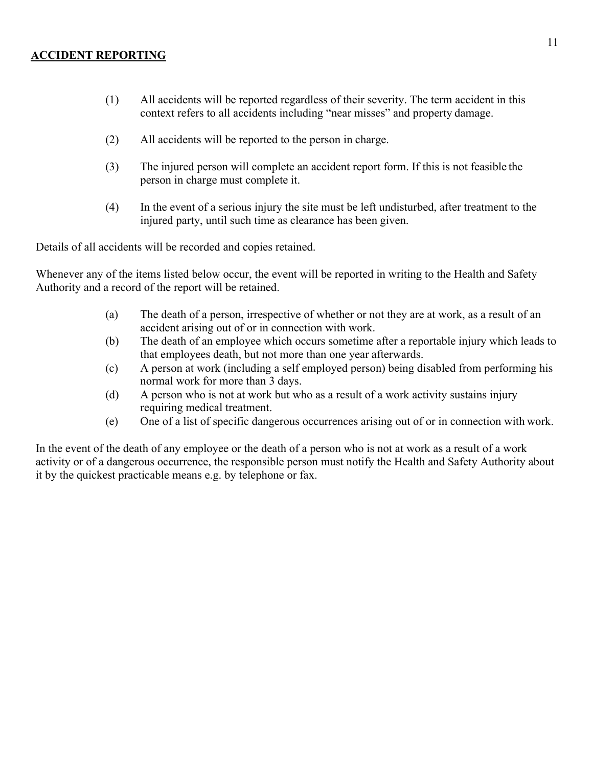#### **ACCIDENT REPORTING**

- (1) All accidents will be reported regardless of their severity. The term accident in this context refers to all accidents including "near misses" and property damage.
- (2) All accidents will be reported to the person in charge.
- (3) The injured person will complete an accident report form. If this is not feasible the person in charge must complete it.
- (4) In the event of a serious injury the site must be left undisturbed, after treatment to the injured party, until such time as clearance has been given.

Details of all accidents will be recorded and copies retained.

Whenever any of the items listed below occur, the event will be reported in writing to the Health and Safety Authority and a record of the report will be retained.

- (a) The death of a person, irrespective of whether or not they are at work, as a result of an accident arising out of or in connection with work.
- (b) The death of an employee which occurs sometime after a reportable injury which leads to that employees death, but not more than one year afterwards.
- (c) A person at work (including a self employed person) being disabled from performing his normal work for more than 3 days.
- (d) A person who is not at work but who as a result of a work activity sustains injury requiring medical treatment.
- (e) One of a list of specific dangerous occurrences arising out of or in connection with work.

In the event of the death of any employee or the death of a person who is not at work as a result of a work activity or of a dangerous occurrence, the responsible person must notify the Health and Safety Authority about it by the quickest practicable means e.g. by telephone or fax.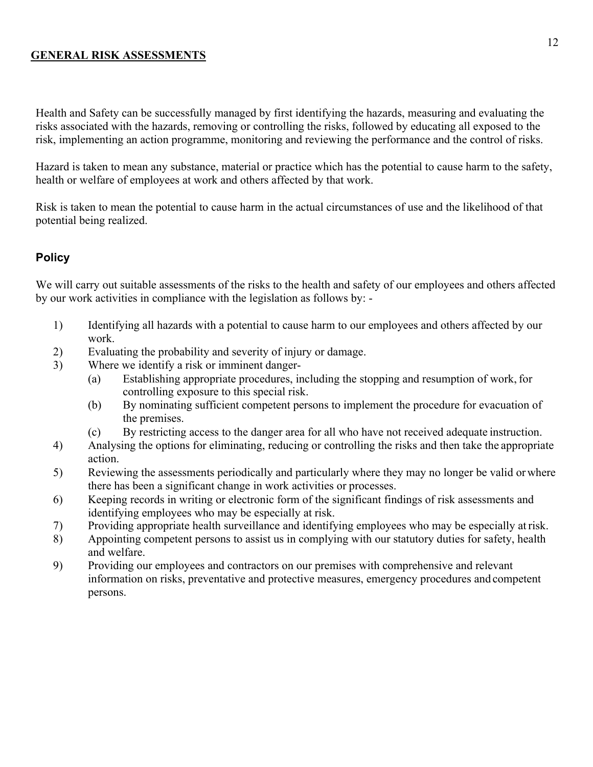#### **GENERAL RISK ASSESSMENTS**

Health and Safety can be successfully managed by first identifying the hazards, measuring and evaluating the risks associated with the hazards, removing or controlling the risks, followed by educating all exposed to the risk, implementing an action programme, monitoring and reviewing the performance and the control of risks.

Hazard is taken to mean any substance, material or practice which has the potential to cause harm to the safety, health or welfare of employees at work and others affected by that work.

Risk is taken to mean the potential to cause harm in the actual circumstances of use and the likelihood of that potential being realized.

## **Policy**

We will carry out suitable assessments of the risks to the health and safety of our employees and others affected by our work activities in compliance with the legislation as follows by: -

- 1) Identifying all hazards with a potential to cause harm to our employees and others affected by our work.
- 2) Evaluating the probability and severity of injury or damage.
- 3) Where we identify a risk or imminent danger-
	- (a) Establishing appropriate procedures, including the stopping and resumption of work, for controlling exposure to this special risk.
	- (b) By nominating sufficient competent persons to implement the procedure for evacuation of the premises.
	- (c) By restricting access to the danger area for all who have not received adequate instruction.
- 4) Analysing the options for eliminating, reducing or controlling the risks and then take the appropriate action.
- 5) Reviewing the assessments periodically and particularly where they may no longer be valid orwhere there has been a significant change in work activities or processes.
- 6) Keeping records in writing or electronic form of the significant findings of risk assessments and identifying employees who may be especially at risk.
- 7) Providing appropriate health surveillance and identifying employees who may be especially atrisk.
- 8) Appointing competent persons to assist us in complying with our statutory duties for safety, health and welfare.
- 9) Providing our employees and contractors on our premises with comprehensive and relevant information on risks, preventative and protective measures, emergency procedures and competent persons.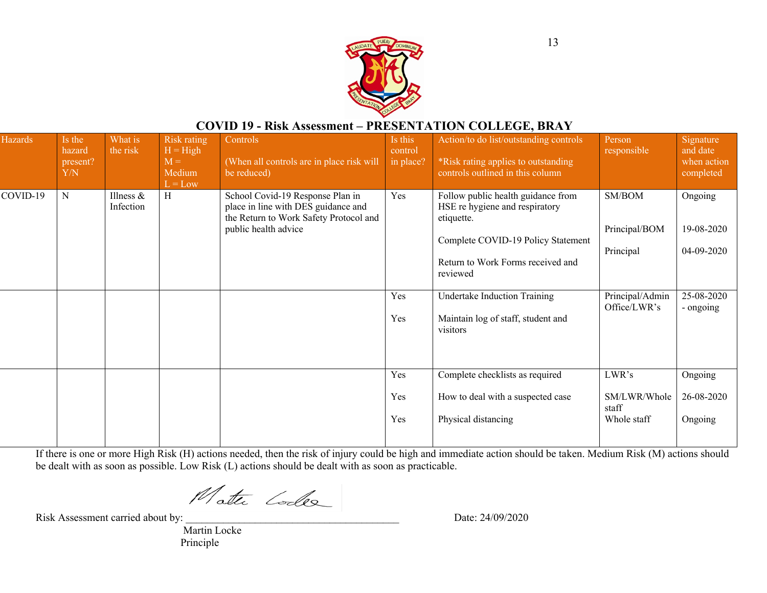

## **COVID 19 - Risk Assessment – PRESENTATION COLLEGE, BRAY**

| <b>Hazards</b> | Is the<br>hazard<br>present?<br>Y/N | What is<br>the risk       | <b>Risk rating</b><br>$H = High$<br>$M =$<br>Medium<br>$L = Low$ | Controls<br>(When all controls are in place risk will<br>be reduced)                                                                      | Is this<br>control<br>in place? | Action/to do list/outstanding controls<br>*Risk rating applies to outstanding<br>controls outlined in this column                                                                                                                                           | Person<br>responsible                                                   | Signature<br>and date<br>when action<br>completed              |
|----------------|-------------------------------------|---------------------------|------------------------------------------------------------------|-------------------------------------------------------------------------------------------------------------------------------------------|---------------------------------|-------------------------------------------------------------------------------------------------------------------------------------------------------------------------------------------------------------------------------------------------------------|-------------------------------------------------------------------------|----------------------------------------------------------------|
| COVID-19       | ${\bf N}$                           | Illness $\&$<br>Infection | H                                                                | School Covid-19 Response Plan in<br>place in line with DES guidance and<br>the Return to Work Safety Protocol and<br>public health advice | Yes<br>Yes<br>Yes               | Follow public health guidance from<br>HSE re hygiene and respiratory<br>etiquette.<br>Complete COVID-19 Policy Statement<br>Return to Work Forms received and<br>reviewed<br>Undertake Induction Training<br>Maintain log of staff, student and<br>visitors | SM/BOM<br>Principal/BOM<br>Principal<br>Principal/Admin<br>Office/LWR's | Ongoing<br>19-08-2020<br>04-09-2020<br>25-08-2020<br>- ongoing |
|                |                                     |                           |                                                                  |                                                                                                                                           | Yes<br>Yes<br>Yes               | Complete checklists as required<br>How to deal with a suspected case<br>Physical distancing                                                                                                                                                                 | LWR's<br>SM/LWR/Whole<br>staff<br>Whole staff                           | Ongoing<br>26-08-2020<br>Ongoing                               |

If there is one or more High Risk (H) actions needed, then the risk of injury could be high and immediate action should be taken. Medium Risk (M) actions should be dealt with as soon as possible. Low Risk (L) actions should be dealt with as soon as practicable.

Matte Codes

Risk Assessment carried about by: <br>
Date: 24/09/2020

Martin Locke Principle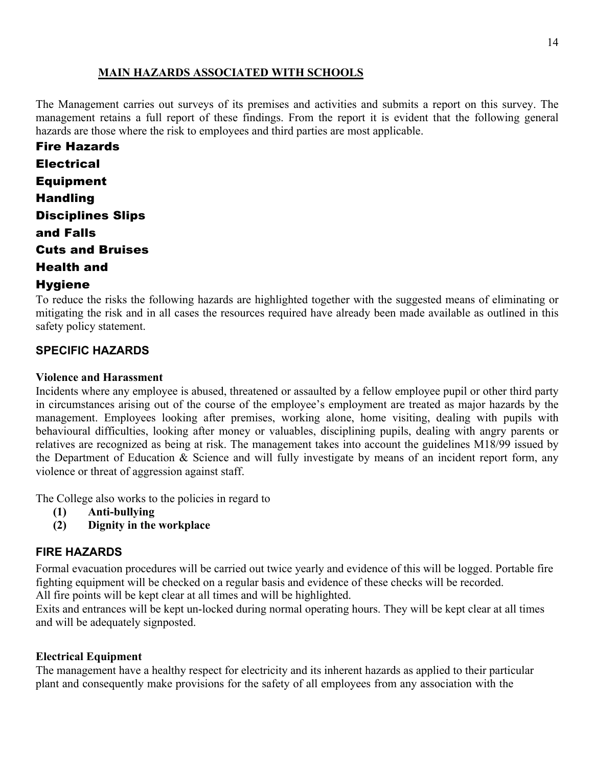## **MAIN HAZARDS ASSOCIATED WITH SCHOOLS**

The Management carries out surveys of its premises and activities and submits a report on this survey. The management retains a full report of these findings. From the report it is evident that the following general hazards are those where the risk to employees and third parties are most applicable.

Fire Hazards Electrical Equipment Handling Disciplines Slips and Falls Cuts and Bruises Health and

## **Hygiene**

To reduce the risks the following hazards are highlighted together with the suggested means of eliminating or mitigating the risk and in all cases the resources required have already been made available as outlined in this safety policy statement.

## **SPECIFIC HAZARDS**

## **Violence and Harassment**

Incidents where any employee is abused, threatened or assaulted by a fellow employee pupil or other third party in circumstances arising out of the course of the employee's employment are treated as major hazards by the management. Employees looking after premises, working alone, home visiting, dealing with pupils with behavioural difficulties, looking after money or valuables, disciplining pupils, dealing with angry parents or relatives are recognized as being at risk. The management takes into account the guidelines M18/99 issued by the Department of Education & Science and will fully investigate by means of an incident report form, any violence or threat of aggression against staff.

The College also works to the policies in regard to

- **(1) Anti-bullying**
- **(2) Dignity in the workplace**

## **FIRE HAZARDS**

Formal evacuation procedures will be carried out twice yearly and evidence of this will be logged. Portable fire fighting equipment will be checked on a regular basis and evidence of these checks will be recorded. All fire points will be kept clear at all times and will be highlighted.

Exits and entrances will be kept un-locked during normal operating hours. They will be kept clear at all times and will be adequately signposted.

#### **Electrical Equipment**

The management have a healthy respect for electricity and its inherent hazards as applied to their particular plant and consequently make provisions for the safety of all employees from any association with the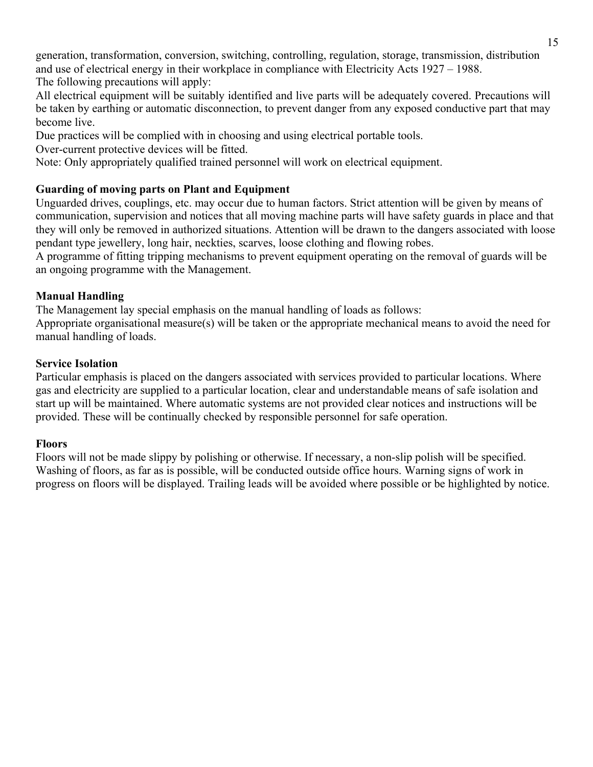generation, transformation, conversion, switching, controlling, regulation, storage, transmission, distribution and use of electrical energy in their workplace in compliance with Electricity Acts 1927 – 1988. The following precautions will apply:

All electrical equipment will be suitably identified and live parts will be adequately covered. Precautions will be taken by earthing or automatic disconnection, to prevent danger from any exposed conductive part that may become live.

Due practices will be complied with in choosing and using electrical portable tools.

Over-current protective devices will be fitted.

Note: Only appropriately qualified trained personnel will work on electrical equipment.

#### **Guarding of moving parts on Plant and Equipment**

Unguarded drives, couplings, etc. may occur due to human factors. Strict attention will be given by means of communication, supervision and notices that all moving machine parts will have safety guards in place and that they will only be removed in authorized situations. Attention will be drawn to the dangers associated with loose pendant type jewellery, long hair, neckties, scarves, loose clothing and flowing robes.

A programme of fitting tripping mechanisms to prevent equipment operating on the removal of guards will be an ongoing programme with the Management.

## **Manual Handling**

The Management lay special emphasis on the manual handling of loads as follows:

Appropriate organisational measure(s) will be taken or the appropriate mechanical means to avoid the need for manual handling of loads.

#### **Service Isolation**

Particular emphasis is placed on the dangers associated with services provided to particular locations. Where gas and electricity are supplied to a particular location, clear and understandable means of safe isolation and start up will be maintained. Where automatic systems are not provided clear notices and instructions will be provided. These will be continually checked by responsible personnel for safe operation.

#### **Floors**

Floors will not be made slippy by polishing or otherwise. If necessary, a non-slip polish will be specified. Washing of floors, as far as is possible, will be conducted outside office hours. Warning signs of work in progress on floors will be displayed. Trailing leads will be avoided where possible or be highlighted by notice.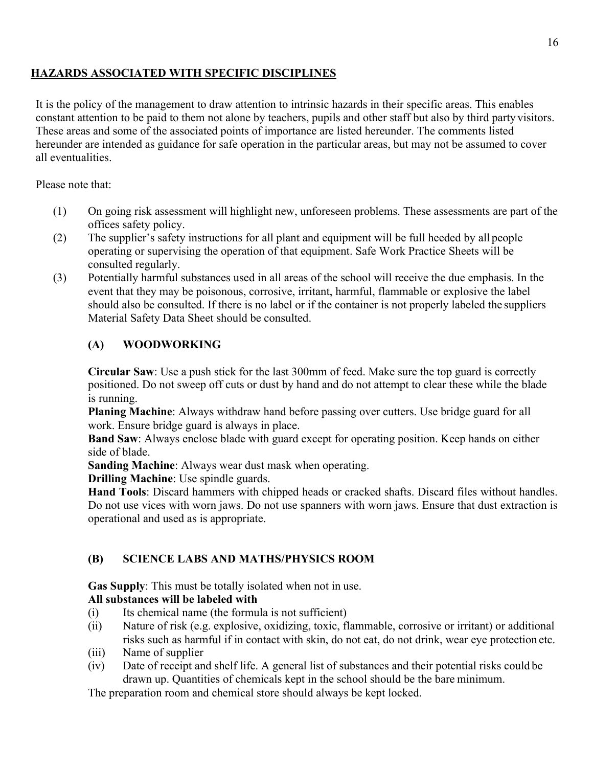## **HAZARDS ASSOCIATED WITH SPECIFIC DISCIPLINES**

It is the policy of the management to draw attention to intrinsic hazards in their specific areas. This enables constant attention to be paid to them not alone by teachers, pupils and other staff but also by third party visitors. These areas and some of the associated points of importance are listed hereunder. The comments listed hereunder are intended as guidance for safe operation in the particular areas, but may not be assumed to cover all eventualities.

Please note that:

- (1) On going risk assessment will highlight new, unforeseen problems. These assessments are part of the offices safety policy.
- (2) The supplier's safety instructions for all plant and equipment will be full heeded by all people operating or supervising the operation of that equipment. Safe Work Practice Sheets will be consulted regularly.
- (3) Potentially harmful substances used in all areas of the school will receive the due emphasis. In the event that they may be poisonous, corrosive, irritant, harmful, flammable or explosive the label should also be consulted. If there is no label or if the container is not properly labeled the suppliers Material Safety Data Sheet should be consulted.

## **(A) WOODWORKING**

**Circular Saw**: Use a push stick for the last 300mm of feed. Make sure the top guard is correctly positioned. Do not sweep off cuts or dust by hand and do not attempt to clear these while the blade is running.

**Planing Machine**: Always withdraw hand before passing over cutters. Use bridge guard for all work. Ensure bridge guard is always in place.

**Band Saw**: Always enclose blade with guard except for operating position. Keep hands on either side of blade.

**Sanding Machine**: Always wear dust mask when operating.

**Drilling Machine**: Use spindle guards.

**Hand Tools**: Discard hammers with chipped heads or cracked shafts. Discard files without handles. Do not use vices with worn jaws. Do not use spanners with worn jaws. Ensure that dust extraction is operational and used as is appropriate.

# **(B) SCIENCE LABS AND MATHS/PHYSICS ROOM**

**Gas Supply**: This must be totally isolated when not in use.

## **All substances will be labeled with**

- (i) Its chemical name (the formula is not sufficient)
- (ii) Nature of risk (e.g. explosive, oxidizing, toxic, flammable, corrosive or irritant) or additional risks such as harmful if in contact with skin, do not eat, do not drink, wear eye protection etc.
- (iii) Name of supplier
- (iv) Date of receipt and shelf life. A general list of substances and their potential risks could be drawn up. Quantities of chemicals kept in the school should be the bare minimum.

The preparation room and chemical store should always be kept locked.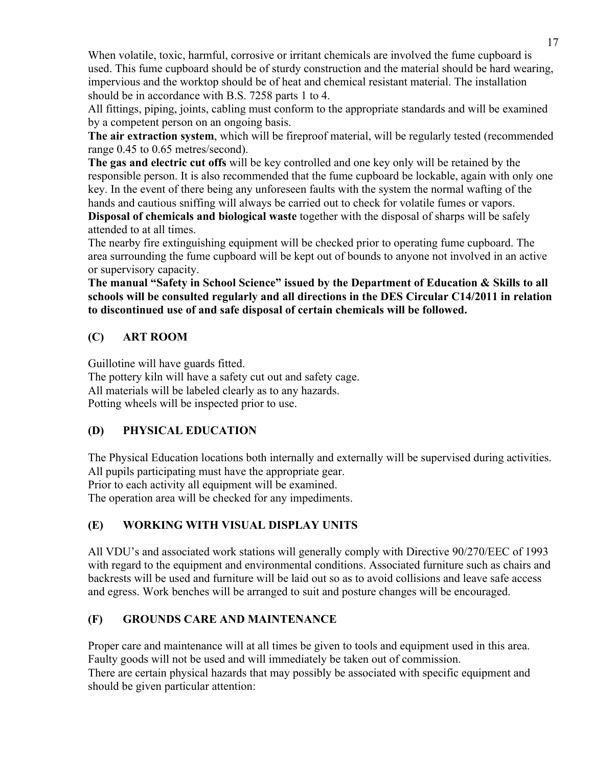When volatile, toxic, harmful, corrosive or irritant chemicals are involved the fume cupboard is used. This fume cupboard should be of sturdy construction and the material should be hard wearing, impervious and the worktop should be of heat and chemical resistant material. The installation should be in accordance with B.S. 7258 parts 1 to 4.

All fittings, piping, joints, cabling must conform to the appropriate standards and will be examined by a competent person on an ongoing basis.

**The air extraction system**, which will be fireproof material, will be regularly tested (recommended range 0.45 to 0.65 metres/second).

**The gas and electric cut offs** will be key controlled and one key only will be retained by the responsible person. It is also recommended that the fume cupboard be lockable, again with only one key. In the event of there being any unforeseen faults with the system the normal wafting of the hands and cautious sniffing will always be carried out to check for volatile fumes or vapors.

**Disposal of chemicals and biological waste** together with the disposal of sharps will be safely attended to at all times.

The nearby fire extinguishing equipment will be checked prior to operating fume cupboard. The area surrounding the fume cupboard will be kept out of bounds to anyone not involved in an active or supervisory capacity.

**The manual "Safety in School Science" issued by the Department of Education & Skills to all schools will be consulted regularly and all directions in the DES Circular C14/2011 in relation to discontinued use of and safe disposal of certain chemicals will be followed.**

## **(C) ART ROOM**

Guillotine will have guards fitted. The pottery kiln will have a safety cut out and safety cage. All materials will be labeled clearly as to any hazards. Potting wheels will be inspected prior to use.

# **(D) PHYSICAL EDUCATION**

The Physical Education locations both internally and externally will be supervised during activities. All pupils participating must have the appropriate gear. Prior to each activity all equipment will be examined.

The operation area will be checked for any impediments.

# **(E) WORKING WITH VISUAL DISPLAY UNITS**

All VDU's and associated work stations will generally comply with Directive 90/270/EEC of 1993 with regard to the equipment and environmental conditions. Associated furniture such as chairs and backrests will be used and furniture will be laid out so as to avoid collisions and leave safe access and egress. Work benches will be arranged to suit and posture changes will be encouraged.

# **(F) GROUNDS CARE AND MAINTENANCE**

Proper care and maintenance will at all times be given to tools and equipment used in this area. Faulty goods will not be used and will immediately be taken out of commission. There are certain physical hazards that may possibly be associated with specific equipment and should be given particular attention: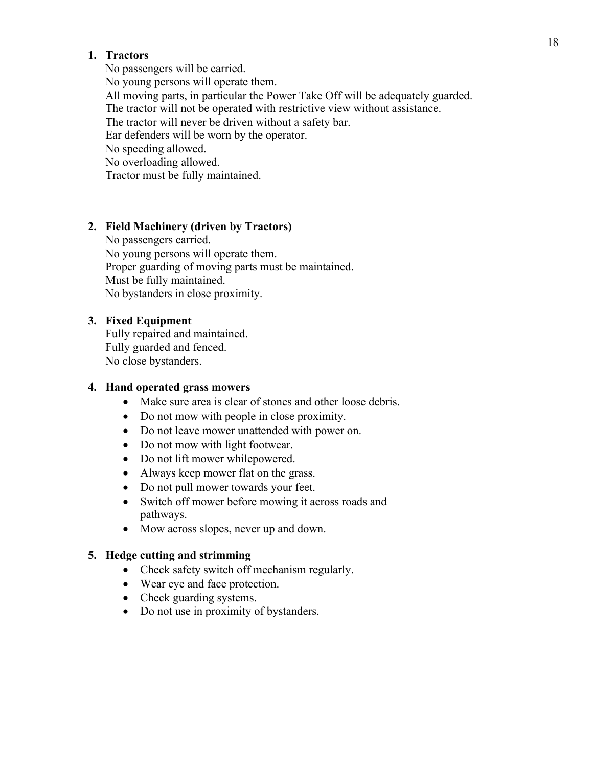#### **1. Tractors**

No passengers will be carried. No young persons will operate them. All moving parts, in particular the Power Take Off will be adequately guarded. The tractor will not be operated with restrictive view without assistance. The tractor will never be driven without a safety bar. Ear defenders will be worn by the operator. No speeding allowed. No overloading allowed. Tractor must be fully maintained.

#### **2. Field Machinery (driven by Tractors)**

No passengers carried. No young persons will operate them. Proper guarding of moving parts must be maintained. Must be fully maintained. No bystanders in close proximity.

#### **3. Fixed Equipment**

Fully repaired and maintained. Fully guarded and fenced. No close bystanders.

#### **4. Hand operated grass mowers**

- Make sure area is clear of stones and other loose debris.
- Do not mow with people in close proximity.
- Do not leave mower unattended with power on.
- Do not mow with light footwear.
- Do not lift mower while powered.
- Always keep mower flat on the grass.
- Do not pull mower towards your feet.
- Switch off mower before mowing it across roads and pathways.
- Mow across slopes, never up and down.

#### **5. Hedge cutting and strimming**

- Check safety switch off mechanism regularly.
- Wear eye and face protection.
- Check guarding systems.
- Do not use in proximity of bystanders.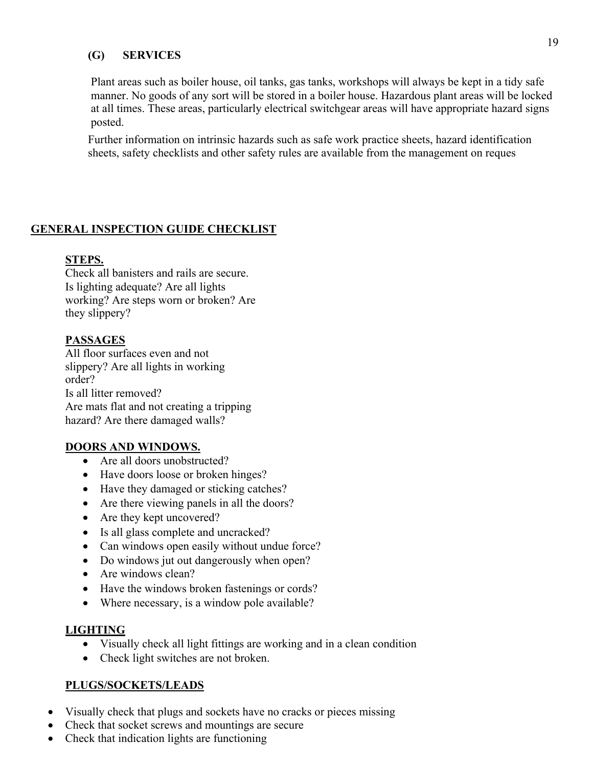#### **(G) SERVICES**

Plant areas such as boiler house, oil tanks, gas tanks, workshops will always be kept in a tidy safe manner. No goods of any sort will be stored in a boiler house. Hazardous plant areas will be locked at all times. These areas, particularly electrical switchgear areas will have appropriate hazard signs posted.

Further information on intrinsic hazards such as safe work practice sheets, hazard identification sheets, safety checklists and other safety rules are available from the management on reques

## **GENERAL INSPECTION GUIDE CHECKLIST**

## **STEPS.**

Check all banisters and rails are secure. Is lighting adequate? Are all lights working? Are steps worn or broken? Are they slippery?

## **PASSAGES**

All floor surfaces even and not slippery? Are all lights in working order? Is all litter removed? Are mats flat and not creating a tripping hazard? Are there damaged walls?

#### **DOORS AND WINDOWS.**

- Are all doors unobstructed?
- Have doors loose or broken hinges?
- Have they damaged or sticking catches?
- Are there viewing panels in all the doors?
- Are they kept uncovered?
- Is all glass complete and uncracked?
- Can windows open easily without undue force?
- Do windows jut out dangerously when open?
- Are windows clean?
- Have the windows broken fastenings or cords?
- Where necessary, is a window pole available?

#### **LIGHTING**

- Visually check all light fittings are working and in a clean condition
- Check light switches are not broken.

#### **PLUGS/SOCKETS/LEADS**

- Visually check that plugs and sockets have no cracks or pieces missing
- Check that socket screws and mountings are secure
- Check that indication lights are functioning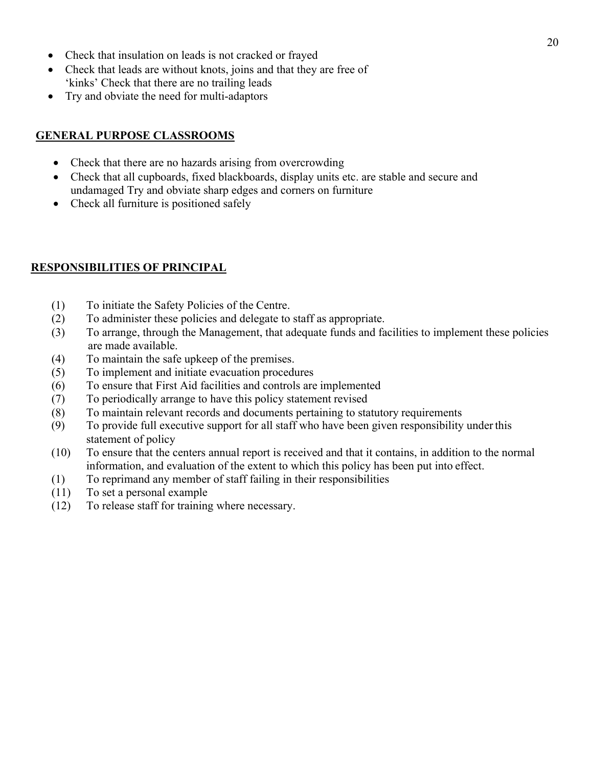- Check that insulation on leads is not cracked or frayed
- Check that leads are without knots, joins and that they are free of 'kinks' Check that there are no trailing leads
- Try and obviate the need for multi-adaptors

### **GENERAL PURPOSE CLASSROOMS**

- Check that there are no hazards arising from overcrowding
- Check that all cupboards, fixed blackboards, display units etc. are stable and secure and undamaged Try and obviate sharp edges and corners on furniture
- Check all furniture is positioned safely

## **RESPONSIBILITIES OF PRINCIPAL**

- (1) To initiate the Safety Policies of the Centre.
- (2) To administer these policies and delegate to staff as appropriate.
- (3) To arrange, through the Management, that adequate funds and facilities to implement these policies are made available.
- (4) To maintain the safe upkeep of the premises.
- (5) To implement and initiate evacuation procedures
- (6) To ensure that First Aid facilities and controls are implemented
- (7) To periodically arrange to have this policy statement revised
- (8) To maintain relevant records and documents pertaining to statutory requirements
- (9) To provide full executive support for all staff who have been given responsibility underthis statement of policy
- (10) To ensure that the centers annual report is received and that it contains, in addition to the normal information, and evaluation of the extent to which this policy has been put into effect.
- (1) To reprimand any member of staff failing in their responsibilities
- (11) To set a personal example
- (12) To release staff for training where necessary.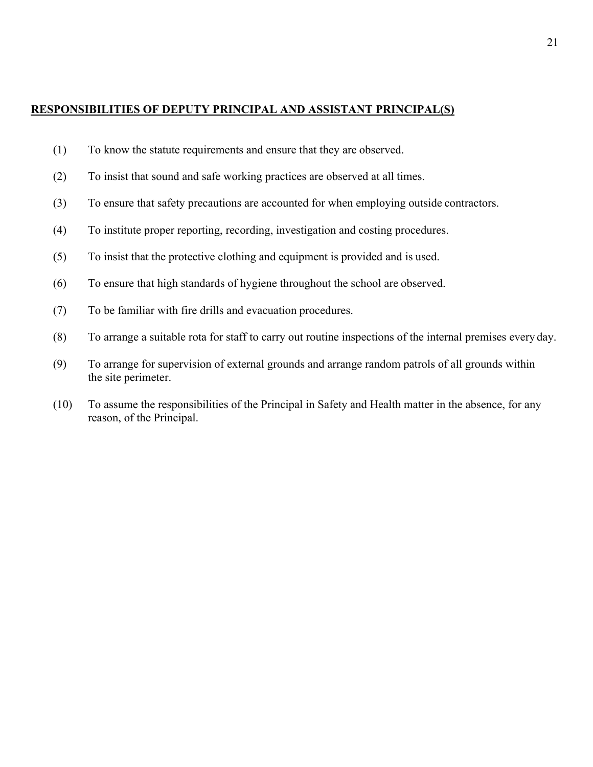#### **RESPONSIBILITIES OF DEPUTY PRINCIPAL AND ASSISTANT PRINCIPAL(S)**

- (1) To know the statute requirements and ensure that they are observed.
- (2) To insist that sound and safe working practices are observed at all times.
- (3) To ensure that safety precautions are accounted for when employing outside contractors.
- (4) To institute proper reporting, recording, investigation and costing procedures.
- (5) To insist that the protective clothing and equipment is provided and is used.
- (6) To ensure that high standards of hygiene throughout the school are observed.
- (7) To be familiar with fire drills and evacuation procedures.
- (8) To arrange a suitable rota for staff to carry out routine inspections of the internal premises every day.
- (9) To arrange for supervision of external grounds and arrange random patrols of all grounds within the site perimeter.
- (10) To assume the responsibilities of the Principal in Safety and Health matter in the absence, for any reason, of the Principal.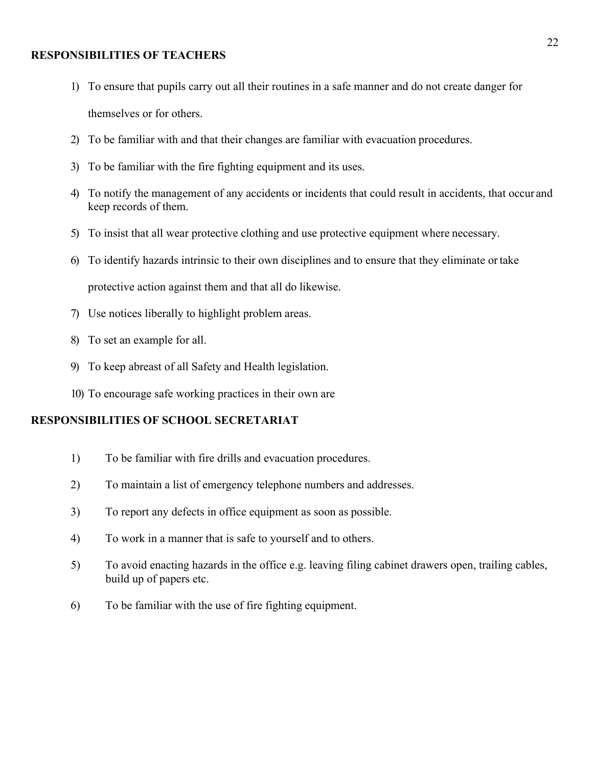#### **RESPONSIBILITIES OF TEACHERS**

- 1) To ensure that pupils carry out all their routines in a safe manner and do not create danger for themselves or for others.
- 2) To be familiar with and that their changes are familiar with evacuation procedures.
- 3) To be familiar with the fire fighting equipment and its uses.
- 4) To notify the management of any accidents or incidents that could result in accidents, that occur and keep records of them.
- 5) To insist that all wear protective clothing and use protective equipment where necessary.
- 6) To identify hazards intrinsic to their own disciplines and to ensure that they eliminate ortake protective action against them and that all do likewise.
- 7) Use notices liberally to highlight problem areas.
- 8) To set an example for all.
- 9) To keep abreast of all Safety and Health legislation.
- 10) To encourage safe working practices in their own are

#### **RESPONSIBILITIES OF SCHOOL SECRETARIAT**

- 1) To be familiar with fire drills and evacuation procedures.
- 2) To maintain a list of emergency telephone numbers and addresses.
- 3) To report any defects in office equipment as soon as possible.
- 4) To work in a manner that is safe to yourself and to others.
- 5) To avoid enacting hazards in the office e.g. leaving filing cabinet drawers open, trailing cables, build up of papers etc.
- 6) To be familiar with the use of fire fighting equipment.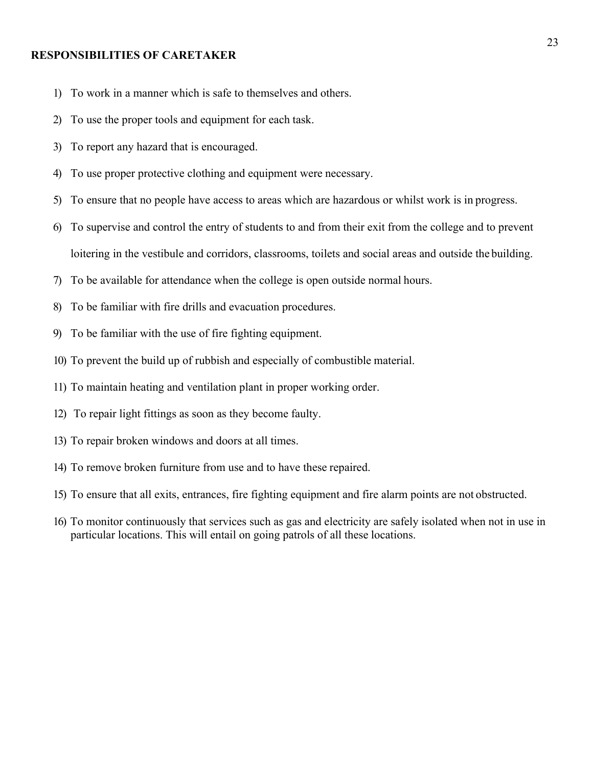#### **RESPONSIBILITIES OF CARETAKER**

- 1) To work in a manner which is safe to themselves and others.
- 2) To use the proper tools and equipment for each task.
- 3) To report any hazard that is encouraged.
- 4) To use proper protective clothing and equipment were necessary.
- 5) To ensure that no people have access to areas which are hazardous or whilst work is in progress.
- 6) To supervise and control the entry of students to and from their exit from the college and to prevent loitering in the vestibule and corridors, classrooms, toilets and social areas and outside the building.
- 7) To be available for attendance when the college is open outside normal hours.
- 8) To be familiar with fire drills and evacuation procedures.
- 9) To be familiar with the use of fire fighting equipment.
- 10) To prevent the build up of rubbish and especially of combustible material.
- 11) To maintain heating and ventilation plant in proper working order.
- 12) To repair light fittings as soon as they become faulty.
- 13) To repair broken windows and doors at all times.
- 14) To remove broken furniture from use and to have these repaired.
- 15) To ensure that all exits, entrances, fire fighting equipment and fire alarm points are not obstructed.
- 16) To monitor continuously that services such as gas and electricity are safely isolated when not in use in particular locations. This will entail on going patrols of all these locations.